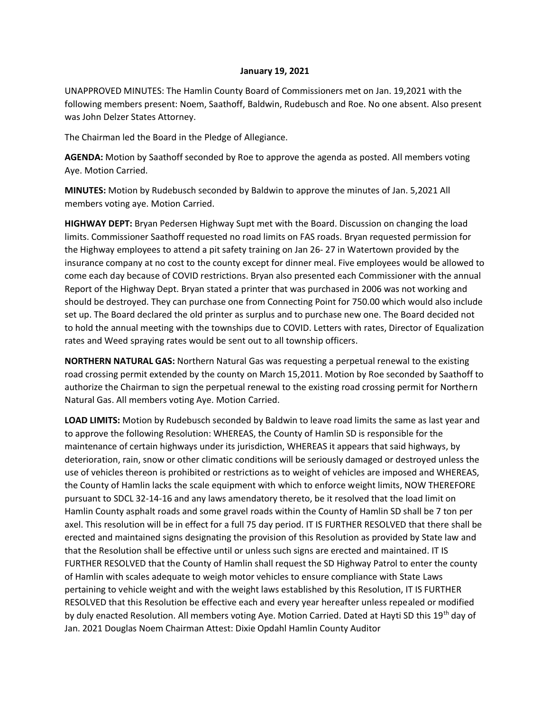## **January 19, 2021**

UNAPPROVED MINUTES: The Hamlin County Board of Commissioners met on Jan. 19,2021 with the following members present: Noem, Saathoff, Baldwin, Rudebusch and Roe. No one absent. Also present was John Delzer States Attorney.

The Chairman led the Board in the Pledge of Allegiance.

**AGENDA:** Motion by Saathoff seconded by Roe to approve the agenda as posted. All members voting Aye. Motion Carried.

**MINUTES:** Motion by Rudebusch seconded by Baldwin to approve the minutes of Jan. 5,2021 All members voting aye. Motion Carried.

**HIGHWAY DEPT:** Bryan Pedersen Highway Supt met with the Board. Discussion on changing the load limits. Commissioner Saathoff requested no road limits on FAS roads. Bryan requested permission for the Highway employees to attend a pit safety training on Jan 26- 27 in Watertown provided by the insurance company at no cost to the county except for dinner meal. Five employees would be allowed to come each day because of COVID restrictions. Bryan also presented each Commissioner with the annual Report of the Highway Dept. Bryan stated a printer that was purchased in 2006 was not working and should be destroyed. They can purchase one from Connecting Point for 750.00 which would also include set up. The Board declared the old printer as surplus and to purchase new one. The Board decided not to hold the annual meeting with the townships due to COVID. Letters with rates, Director of Equalization rates and Weed spraying rates would be sent out to all township officers.

**NORTHERN NATURAL GAS:** Northern Natural Gas was requesting a perpetual renewal to the existing road crossing permit extended by the county on March 15,2011. Motion by Roe seconded by Saathoff to authorize the Chairman to sign the perpetual renewal to the existing road crossing permit for Northern Natural Gas. All members voting Aye. Motion Carried.

**LOAD LIMITS:** Motion by Rudebusch seconded by Baldwin to leave road limits the same as last year and to approve the following Resolution: WHEREAS, the County of Hamlin SD is responsible for the maintenance of certain highways under its jurisdiction, WHEREAS it appears that said highways, by deterioration, rain, snow or other climatic conditions will be seriously damaged or destroyed unless the use of vehicles thereon is prohibited or restrictions as to weight of vehicles are imposed and WHEREAS, the County of Hamlin lacks the scale equipment with which to enforce weight limits, NOW THEREFORE pursuant to SDCL 32-14-16 and any laws amendatory thereto, be it resolved that the load limit on Hamlin County asphalt roads and some gravel roads within the County of Hamlin SD shall be 7 ton per axel. This resolution will be in effect for a full 75 day period. IT IS FURTHER RESOLVED that there shall be erected and maintained signs designating the provision of this Resolution as provided by State law and that the Resolution shall be effective until or unless such signs are erected and maintained. IT IS FURTHER RESOLVED that the County of Hamlin shall request the SD Highway Patrol to enter the county of Hamlin with scales adequate to weigh motor vehicles to ensure compliance with State Laws pertaining to vehicle weight and with the weight laws established by this Resolution, IT IS FURTHER RESOLVED that this Resolution be effective each and every year hereafter unless repealed or modified by duly enacted Resolution. All members voting Aye. Motion Carried. Dated at Hayti SD this 19th day of Jan. 2021 Douglas Noem Chairman Attest: Dixie Opdahl Hamlin County Auditor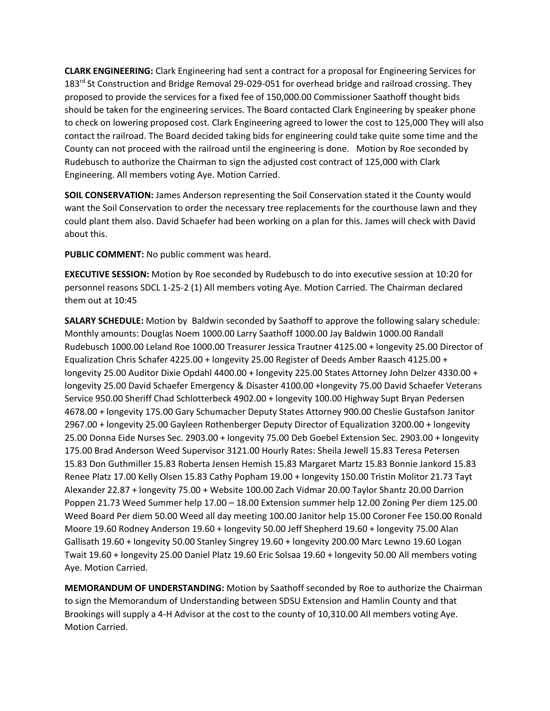**CLARK ENGINEERING:** Clark Engineering had sent a contract for a proposal for Engineering Services for 183<sup>rd</sup> St Construction and Bridge Removal 29-029-051 for overhead bridge and railroad crossing. They proposed to provide the services for a fixed fee of 150,000.00 Commissioner Saathoff thought bids should be taken for the engineering services. The Board contacted Clark Engineering by speaker phone to check on lowering proposed cost. Clark Engineering agreed to lower the cost to 125,000 They will also contact the railroad. The Board decided taking bids for engineering could take quite some time and the County can not proceed with the railroad until the engineering is done. Motion by Roe seconded by Rudebusch to authorize the Chairman to sign the adjusted cost contract of 125,000 with Clark Engineering. All members voting Aye. Motion Carried.

**SOIL CONSERVATION:** James Anderson representing the Soil Conservation stated it the County would want the Soil Conservation to order the necessary tree replacements for the courthouse lawn and they could plant them also. David Schaefer had been working on a plan for this. James will check with David about this.

**PUBLIC COMMENT:** No public comment was heard.

**EXECUTIVE SESSION:** Motion by Roe seconded by Rudebusch to do into executive session at 10:20 for personnel reasons SDCL 1-25-2 (1) All members voting Aye. Motion Carried. The Chairman declared them out at 10:45

**SALARY SCHEDULE:** Motion by Baldwin seconded by Saathoff to approve the following salary schedule: Monthly amounts: Douglas Noem 1000.00 Larry Saathoff 1000.00 Jay Baldwin 1000.00 Randall Rudebusch 1000.00 Leland Roe 1000.00 Treasurer Jessica Trautner 4125.00 + longevity 25.00 Director of Equalization Chris Schafer 4225.00 + longevity 25.00 Register of Deeds Amber Raasch 4125.00 + longevity 25.00 Auditor Dixie Opdahl 4400.00 + longevity 225.00 States Attorney John Delzer 4330.00 + longevity 25.00 David Schaefer Emergency & Disaster 4100.00 +longevity 75.00 David Schaefer Veterans Service 950.00 Sheriff Chad Schlotterbeck 4902.00 + longevity 100.00 Highway Supt Bryan Pedersen 4678.00 + longevity 175.00 Gary Schumacher Deputy States Attorney 900.00 Cheslie Gustafson Janitor 2967.00 + longevity 25.00 Gayleen Rothenberger Deputy Director of Equalization 3200.00 + longevity 25.00 Donna Eide Nurses Sec. 2903.00 + longevity 75.00 Deb Goebel Extension Sec. 2903.00 + longevity 175.00 Brad Anderson Weed Supervisor 3121.00 Hourly Rates: Sheila Jewell 15.83 Teresa Petersen 15.83 Don Guthmiller 15.83 Roberta Jensen Hemish 15.83 Margaret Martz 15.83 Bonnie Jankord 15.83 Renee Platz 17.00 Kelly Olsen 15.83 Cathy Popham 19.00 + longevity 150.00 Tristin Molitor 21.73 Tayt Alexander 22.87 + longevity 75.00 + Website 100.00 Zach Vidmar 20.00 Taylor Shantz 20.00 Darrion Poppen 21.73 Weed Summer help 17.00 – 18.00 Extension summer help 12.00 Zoning Per diem 125.00 Weed Board Per diem 50.00 Weed all day meeting 100.00 Janitor help 15.00 Coroner Fee 150.00 Ronald Moore 19.60 Rodney Anderson 19.60 + longevity 50.00 Jeff Shepherd 19.60 + longevity 75.00 Alan Gallisath 19.60 + longevity 50.00 Stanley Singrey 19.60 + longevity 200.00 Marc Lewno 19.60 Logan Twait 19.60 + longevity 25.00 Daniel Platz 19.60 Eric Solsaa 19.60 + longevity 50.00 All members voting Aye. Motion Carried.

**MEMORANDUM OF UNDERSTANDING:** Motion by Saathoff seconded by Roe to authorize the Chairman to sign the Memorandum of Understanding between SDSU Extension and Hamlin County and that Brookings will supply a 4-H Advisor at the cost to the county of 10,310.00 All members voting Aye. Motion Carried.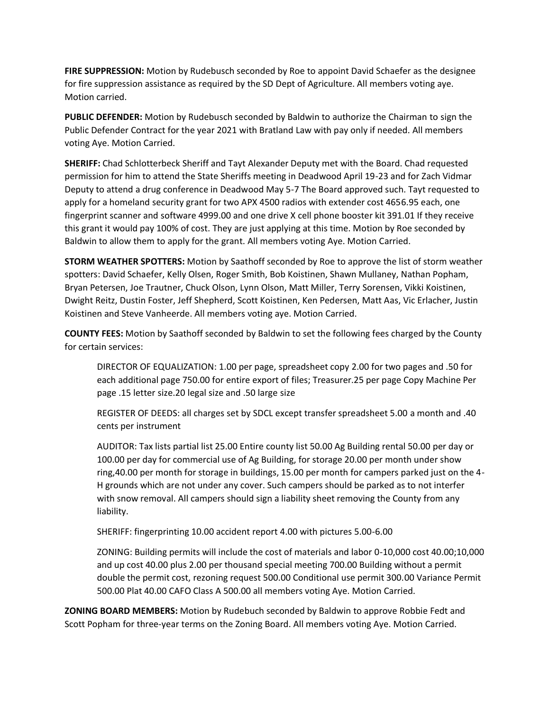**FIRE SUPPRESSION:** Motion by Rudebusch seconded by Roe to appoint David Schaefer as the designee for fire suppression assistance as required by the SD Dept of Agriculture. All members voting aye. Motion carried.

**PUBLIC DEFENDER:** Motion by Rudebusch seconded by Baldwin to authorize the Chairman to sign the Public Defender Contract for the year 2021 with Bratland Law with pay only if needed. All members voting Aye. Motion Carried.

**SHERIFF:** Chad Schlotterbeck Sheriff and Tayt Alexander Deputy met with the Board. Chad requested permission for him to attend the State Sheriffs meeting in Deadwood April 19-23 and for Zach Vidmar Deputy to attend a drug conference in Deadwood May 5-7 The Board approved such. Tayt requested to apply for a homeland security grant for two APX 4500 radios with extender cost 4656.95 each, one fingerprint scanner and software 4999.00 and one drive X cell phone booster kit 391.01 If they receive this grant it would pay 100% of cost. They are just applying at this time. Motion by Roe seconded by Baldwin to allow them to apply for the grant. All members voting Aye. Motion Carried.

**STORM WEATHER SPOTTERS:** Motion by Saathoff seconded by Roe to approve the list of storm weather spotters: David Schaefer, Kelly Olsen, Roger Smith, Bob Koistinen, Shawn Mullaney, Nathan Popham, Bryan Petersen, Joe Trautner, Chuck Olson, Lynn Olson, Matt Miller, Terry Sorensen, Vikki Koistinen, Dwight Reitz, Dustin Foster, Jeff Shepherd, Scott Koistinen, Ken Pedersen, Matt Aas, Vic Erlacher, Justin Koistinen and Steve Vanheerde. All members voting aye. Motion Carried.

**COUNTY FEES:** Motion by Saathoff seconded by Baldwin to set the following fees charged by the County for certain services:

DIRECTOR OF EQUALIZATION: 1.00 per page, spreadsheet copy 2.00 for two pages and .50 for each additional page 750.00 for entire export of files; Treasurer.25 per page Copy Machine Per page .15 letter size.20 legal size and .50 large size

REGISTER OF DEEDS: all charges set by SDCL except transfer spreadsheet 5.00 a month and .40 cents per instrument

AUDITOR: Tax lists partial list 25.00 Entire county list 50.00 Ag Building rental 50.00 per day or 100.00 per day for commercial use of Ag Building, for storage 20.00 per month under show ring,40.00 per month for storage in buildings, 15.00 per month for campers parked just on the 4- H grounds which are not under any cover. Such campers should be parked as to not interfer with snow removal. All campers should sign a liability sheet removing the County from any liability.

SHERIFF: fingerprinting 10.00 accident report 4.00 with pictures 5.00-6.00

ZONING: Building permits will include the cost of materials and labor 0-10,000 cost 40.00;10,000 and up cost 40.00 plus 2.00 per thousand special meeting 700.00 Building without a permit double the permit cost, rezoning request 500.00 Conditional use permit 300.00 Variance Permit 500.00 Plat 40.00 CAFO Class A 500.00 all members voting Aye. Motion Carried.

**ZONING BOARD MEMBERS:** Motion by Rudebuch seconded by Baldwin to approve Robbie Fedt and Scott Popham for three-year terms on the Zoning Board. All members voting Aye. Motion Carried.